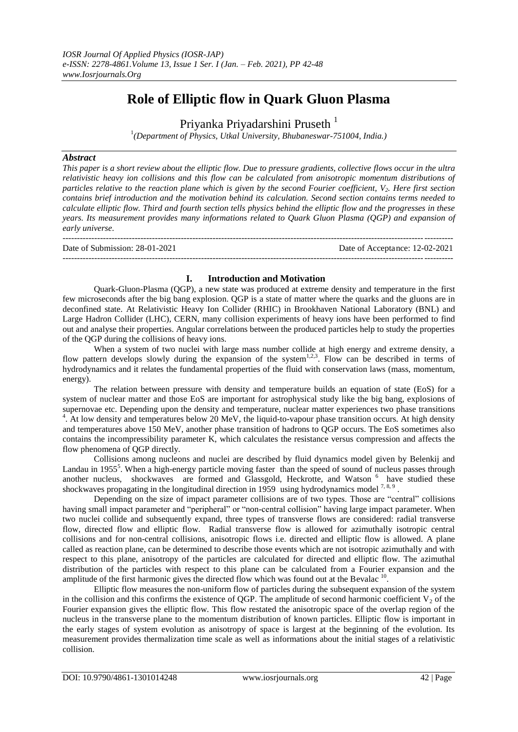# **Role of Elliptic flow in Quark Gluon Plasma**

Priyanka Priyadarshini Pruseth<sup>1</sup>

1 *(Department of Physics, Utkal University, Bhubaneswar-751004, India.)*

## *Abstract*

*This paper is a short review about the elliptic flow. Due to pressure gradients, collective flows occur in the ultra relativistic heavy ion collisions and this flow can be calculated from anisotropic momentum distributions of particles relative to the reaction plane which is given by the second Fourier coefficient, V2. Here first section contains brief introduction and the motivation behind its calculation. Second section contains terms needed to calculate elliptic flow. Third and fourth section tells physics behind the elliptic flow and the progresses in these years. Its measurement provides many informations related to Quark Gluon Plasma (QGP) and expansion of early universe*.

--------------------------------------------------------------------------------------------------------------------------------------- Date of Submission: 28-01-2021 Date of Acceptance: 12-02-2021 ---------------------------------------------------------------------------------------------------------------------------------------

### **I. Introduction and Motivation**

Quark-Gluon-Plasma (QGP), a new state was produced at extreme density and temperature in the first few microseconds after the big bang explosion. QGP is a state of matter where the quarks and the gluons are in deconfined state. At Relativistic Heavy Ion Collider (RHIC) in Brookhaven National Laboratory (BNL) and Large Hadron Collider (LHC), CERN, many collision experiments of heavy ions have been performed to find out and analyse their properties. Angular correlations between the produced particles help to study the properties of the QGP during the collisions of heavy ions.

When a system of two nuclei with large mass number collide at high energy and extreme density, a flow pattern develops slowly during the expansion of the system<sup>[1,2,3](#page-6-0)</sup>. Flow can be described in terms of hydrodynamics and it relates the fundamental properties of the fluid with conservation laws (mass, momentum, energy).

The relation between pressure with density and temperature builds an equation of state (EoS) for a system of nuclear matter and those EoS are important for astrophysical study like the big bang, explosions of supernovae etc. Depending upon the density and temperature, nuclear matter experiences two phase transitions 4 [. A](#page-6-0)t low density and temperatures below 20 MeV, the liquid-to-vapour phase transition occurs. At high density and temperatures above 150 MeV, another phase transition of hadrons to QGP occurs. The EoS sometimes also contains the incompressibility parameter K, which calculates the resistance versus compression and affects the flow phenomena of QGP directly.

Collisions among nucleons and nuclei are described by fluid dynamics model given by Belenkij and Landau in 1955<sup>5</sup>. When a high-energy particle moving faster than the speed of sound of nucleus passes through another nucleus, shockwaves are formed and Glassgold, Heckrotte, and Watson<sup>[6](#page-6-0)</sup> have studied these shockwaves propagating in the longitudinal direction in 1959 using hydrodynamics model  $^{7,8,9}$ .

Depending on the size of impact parameter collisions are of two types. Those are "central" collisions having small impact parameter and "peripheral" or "non-central collision" having large impact parameter. When two nuclei collide and subsequently expand, three types of transverse flows are considered: radial transverse flow, directed flow and elliptic flow. Radial transverse flow is allowed for azimuthally isotropic central collisions and for non-central collisions, anisotropic flows i.e. directed and elliptic flow is allowed. A plane called as reaction plane, can be determined to describe those events which are not isotropic azimuthally and with respect to this plane, anisotropy of the particles are calculated for directed and elliptic flow. The azimuthal distribution of the particles with respect to this plane can be calculated from a Fourier expansion and the amplitude of the first harmonic gives the directed flow which was found out at the Bevalac  $10$ .

Elliptic flow measures the non-uniform flow of particles during the subsequent expansion of the system in the collision and this confirms the existence of QGP. The amplitude of second harmonic coefficient  $V_2$  of the Fourier expansion gives the elliptic flow. This flow restated the anisotropic space of the overlap region of the nucleus in the transverse plane to the momentum distribution of known particles. Elliptic flow is important in the early stages of system evolution as anisotropy of space is largest at the beginning of the evolution. Its measurement provides thermalization time scale as well as informations about the initial stages of a relativistic collision.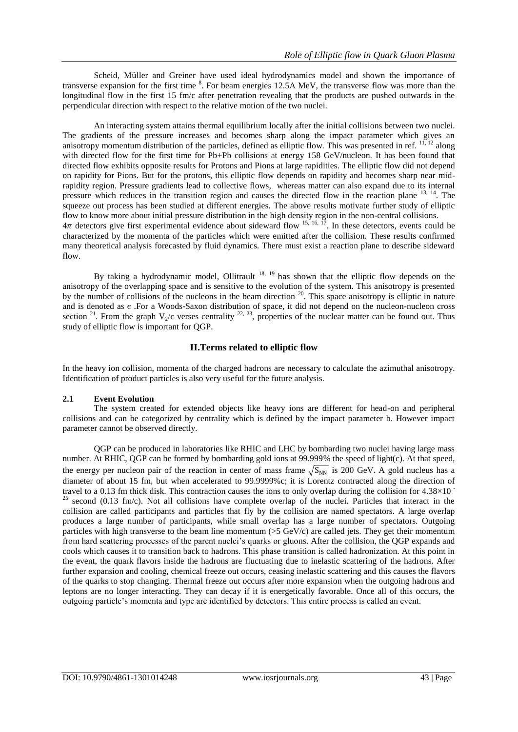Scheid, Müller and Greiner have used ideal hydrodynamics model and shown the importance of transverse expansion for the first time <sup>8</sup>[. F](#page-6-0)or beam energies 12.5A MeV, the transverse flow was more than the longitudinal flow in the first 15 fm/c after penetration revealing that the products are pushed outwards in the perpendicular direction with respect to the relative motion of the two nuclei.

An interacting system attains thermal equilibrium locally after the initial collisions between two nuclei. The gradients of the pressure increases and becomes sharp along the impact parameter which gives an anisotropy momentum distribution of the particles, defined as elliptic flow. This was presented in ref.  $^{11, 12}$  $^{11, 12}$  $^{11, 12}$  along with directed flow for the first time for Pb+Pb collisions at energy 158 GeV/nucleon. It has been found that directed flow exhibits opposite results for Protons and Pions at large rapidities. The elliptic flow did not depend on rapidity for Pions. But for the protons, this elliptic flow depends on rapidity and becomes sharp near midrapidity region. Pressure gradients lead to collective flows, [w](#page-6-0)hereas matter can also expand due to its internal pressure which reduces in the transition region and causes the directed flow in the reaction plane <sup>13, 14</sup>. The squeeze out process has been studied at different energies. The above results motivate further study of elliptic flow to know more about initial pressure distribution in the high density region in the non-central collisions.  $4\pi$  detectors give first experimental evidence about sideward flow  $^{15, 16, 17}$  $^{15, 16, 17}$  $^{15, 16, 17}$ . In these detectors, events could be characterized by the momenta of the particles which were emitted after the collision. These results confirmed many theoretical analysis forecasted by fluid dynamics. There must exist a reaction plane to describe sideward flow.

By taking a hydrodynamic model, Ollitrault<sup>18, 19</sup> has shown that the elliptic flow depends on the anisotropy of the overlapping space and is sensitive to the evolution of the system. This anisotropy is presented by the number of collisions of the nucleons in the beam direction <sup>20</sup>. This space anisotropy is elliptic in nature and is denoted as  $\epsilon$ . For a Woods-Saxon distribution of space, it did not depend on the nucleon-nucleon cross section <sup>21</sup>. From the graph  $V_2/\epsilon$  verses centrality <sup>22, 23</sup>, properties of the nuclear matter can be found out. Thus study of elliptic flow is important for QGP.

# **II.Terms related to elliptic flow**

In the heavy ion collision, momenta of the charged hadrons are necessary to calculate the azimuthal anisotropy. Identification of product particles is also very useful for the future analysis.

# **2.1 Event Evolution**

The system created for extended objects like heavy ions are different for head-on and peripheral collisions and can be categorized by centrality which is defined by the impact parameter b. However impact parameter cannot be observed directly.

QGP can be produced in laboratories like RHIC and LHC by bombarding two nuclei having large mass number. At RHIC, QGP can be formed by bombarding gold ions at 99.999% the speed of light(c). At that speed, the energy per nucleon pair of the reaction in center of mass frame  $\sqrt{S_{NN}}$  is 200 GeV. A gold nucleus has a diameter of about 15 fm, but when accelerated to 99.9999%c; it is Lorentz contracted along the direction of travel to a 0.13 fm thick disk. This contraction causes the ions to only overlap during the collision for  $4.38\times10^{-7}$  $25$  second (0.13 fm/c). Not all collisions have complete overlap of the nuclei. Particles that interact in the collision are called participants and particles that fly by the collision are named spectators. A large overlap produces a large number of participants, while small overlap has a large number of spectators. Outgoing particles with high transverse to the beam line momentum (>5 GeV/c) are called jets. They get their momentum from hard scattering processes of the parent nuclei's quarks or gluons. After the collision, the QGP expands and cools which causes it to transition back to hadrons. This phase transition is called hadronization. At this point in the event, the quark flavors inside the hadrons are fluctuating due to inelastic scattering of the hadrons. After further expansion and cooling, chemical freeze out occurs, ceasing inelastic scattering and this causes the flavors of the quarks to stop changing. Thermal freeze out occurs after more expansion when the outgoing hadrons and leptons are no longer interacting. They can decay if it is energetically favorable. Once all of this occurs, the outgoing particle's momenta and type are identified by detectors. This entire process is called an event.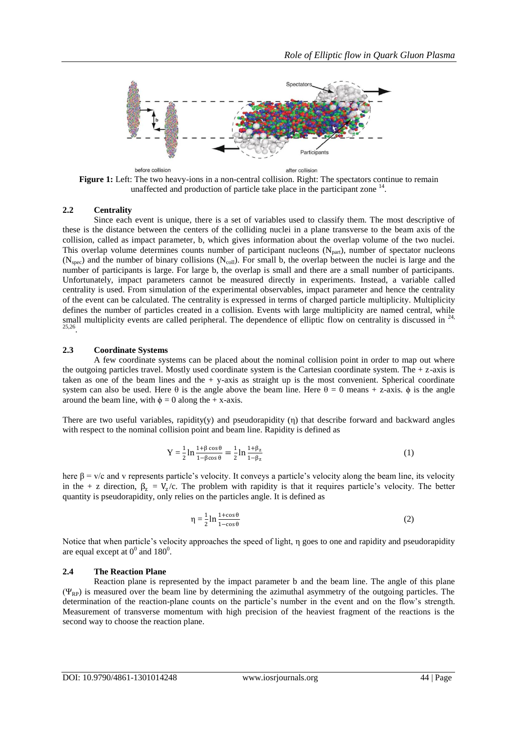

before collision after collision **Figure 1:** Left: The two heavy-ions in a non-central collision. Right: The spectators continue to remain unaffected and production of particle take place in the participant zone<sup>[14](#page-6-0)</sup>.

### **2.2 Centrality**

Since each event is unique, there is a set of variables used to classify them. The most descriptive of these is the distance between the centers of the colliding nuclei in a plane transverse to the beam axis of the collision, called as impact parameter, b, which gives information about the overlap volume of the two nuclei. This overlap volume determines counts number of participant nucleons  $(N_{part})$ , number of spectator nucleons  $(N<sub>spec</sub>)$  and the number of binary collisions  $(N<sub>coll</sub>)$ . For small b, the overlap between the nuclei is large and the number of participants is large. For large b, the overlap is small and there are a small number of participants. Unfortunately, impact parameters cannot be measured directly in experiments. Instead, a variable called centrality is used. From simulation of the experimental observables, impact parameter and hence the centrality of the event can be calculated. The centrality is expressed in terms of charged particle multiplicity. Multiplicity defines the number of particles created in a collision. Events with large multiplicity are named central, while small multiplicity events are called peripheral. The dependence of elliptic flow on centrality is discussed in  $24$ ,  $25,26$ .

## **2.3 Coordinate Systems**

A few coordinate systems can be placed about the nominal collision point in order to map out where the outgoing particles travel. Mostly used coordinate system is the Cartesian coordinate system. The + z-axis is taken as one of the beam lines and the  $+$  y-axis as straight up is the most convenient. Spherical coordinate system can also be used. Here  $\theta$  is the angle above the beam line. Here  $\theta = 0$  means + z-axis.  $\phi$  is the angle around the beam line, with  $\phi = 0$  along the + x-axis.

There are two useful variables, rapidity(y) and pseudorapidity (η) that describe forward and backward angles with respect to the nominal collision point and beam line. Rapidity is defined as

$$
Y = \frac{1}{2} \ln \frac{1 + \beta \cos \theta}{1 - \beta \cos \theta} = \frac{1}{2} \ln \frac{1 + \beta_z}{1 - \beta_z}
$$
 (1)

here  $\beta = v/c$  and v represents particle's velocity. It conveys a particle's velocity along the beam line, its velocity in the + z direction,  $\beta_z = V_z/c$ . The problem with rapidity is that it requires particle's velocity. The better quantity is pseudorapidity, only relies on the particles angle. It is defined as

$$
\eta = \frac{1}{2} \ln \frac{1 + \cos \theta}{1 - \cos \theta} \tag{2}
$$

Notice that when particle's velocity approaches the speed of light, η goes to one and rapidity and pseudorapidity are equal except at  $0^0$  and  $180^0$ .

#### **2.4 The Reaction Plane**

Reaction plane is represented by the impact parameter b and the beam line. The angle of this plane  $(\Psi_{RP})$  is measured over the beam line by determining the azimuthal asymmetry of the outgoing particles. The determination of the reaction-plane counts on the particle's number in the event and on the flow's strength. Measurement of transverse momentum with high precision of the heaviest fragment of the reactions is the second way to choose the reaction plane.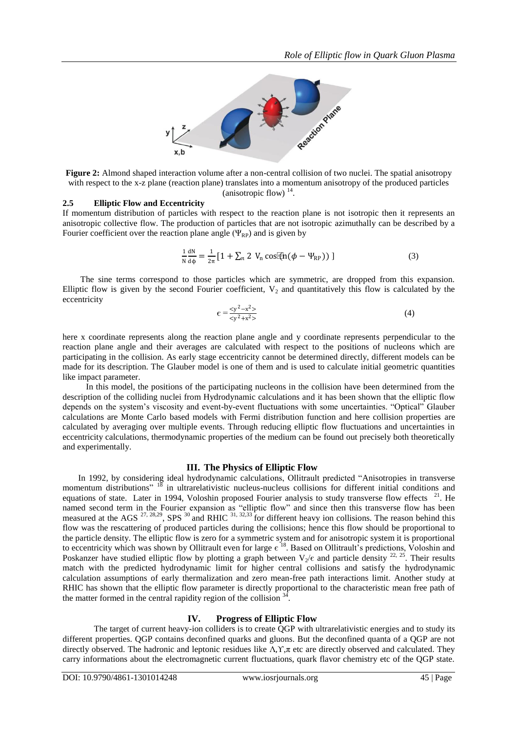

**Figure 2:** Almond shaped interaction volume after a non-central collision of two nuclei. The spatial anisotropy with respect to the x-z plane (reaction plane) translates into a momentum anisotropy of the produced particles (anisotropic flow)  $14$ .

#### **2.5 Elliptic Flow and Eccentricity**

If momentum distribution of particles with respect to the reaction plane is not isotropic then it represents an anisotropic collective flow. The production of particles that are not isotropic azimuthally can be described by a Fourier coefficient over the reaction plane angle  $(\Psi_{RP})$  and is given by

$$
\frac{1}{N}\frac{dN}{d\phi} = \frac{1}{2\pi} \left[ 1 + \sum_{n} 2 \ V_{n} \cos^{n}(\hat{n}(\phi - \Psi_{RP})) \right]
$$
 (3)

The sine terms correspond to those particles which are symmetric, are dropped from this expansion. Elliptic flow is given by the second Fourier coefficient,  $V_2$  and quantitatively this flow is calculated by the eccentricity

$$
\epsilon = \frac{\langle y^2 - x^2 \rangle}{\langle y^2 + x^2 \rangle} \tag{4}
$$

here x coordinate represents along the reaction plane angle and y coordinate represents perpendicular to the reaction plane angle and their averages are calculated with respect to the positions of nucleons which are participating in the collision. As early stage eccentricity cannot be determined directly, different models can be made for its description. The Glauber model is one of them and is used to calculate initial geometric quantities like impact parameter.

In this model, the positions of the participating nucleons in the collision have been determined from the description of the colliding nuclei from Hydrodynamic calculations and it has been shown that the elliptic flow depends on the system's viscosity and event-by-event fluctuations with some uncertainties. "Optical" Glauber calculations are Monte Carlo based models with Fermi distribution function and here collision properties are calculated by averaging over multiple events. Through reducing elliptic flow fluctuations and uncertainties in eccentricity calculations, thermodynamic properties of the medium can be found out precisely both theoretically and experimentally.

## **III. The Physics of Elliptic Flow**

In 1992, by considering ideal hydrodynamic calculations, Ollitrault predicted "Anisotropies in transverse momentum distributions" <sup>[18](#page-6-0)</sup> in ultrarelativistic nucleus-nucleus collisions for different initial conditions and equations of state. Later in 1994, Voloshin proposed Fourier analysis to study transverse flow effects <sup>21</sup>. He named second term in the Fourier expansion as "elliptic flow" and since then this transverse flow has been measured at the AGS  $^{27, 28, 29}$ , SPS  $^{30}$  and RHIC  $^{31, 32, 33}$  for different heavy ion collisions. The reason behind this flow was the rescattering of produced particles during the collisions; hence this flow should be proportional to the particle density. The elliptic flow is zero for a symmetric system and for anisotropic system it is proportional to eccentricity which was shown by Ollitrault even for large  $\epsilon^{18}$ [. B](#page-6-0)ased on Ollitrault's predictions, Voloshin and Poskanzer have studied elliptic flow by plotting a graph between  $V_2/\epsilon$  and particle density <sup>22, 25</sup>. Their results match with the predicted hydrodynamic limit for higher central collisions and satisfy the hydrodynamic calculation assumptions of early thermalization and zero mean-free path interactions limit. Another study at RHIC has shown that the elliptic flow parameter is directly proportional to the characteristic mean free path of the matter formed in the central rapidity region of the collision  $3<sup>4</sup>$ .

#### **IV. Progress of Elliptic Flow**

The target of current heavy-ion colliders is to create QGP with ultrarelativistic energies and to study its different properties. QGP contains deconfined quarks and gluons. But the deconfined quanta of a QGP are not directly observed. The hadronic and leptonic residues like  $\Lambda, Y, \pi$  etc are directly observed and calculated. They carry informations about the electromagnetic current fluctuations, quark flavor chemistry etc of the QGP state.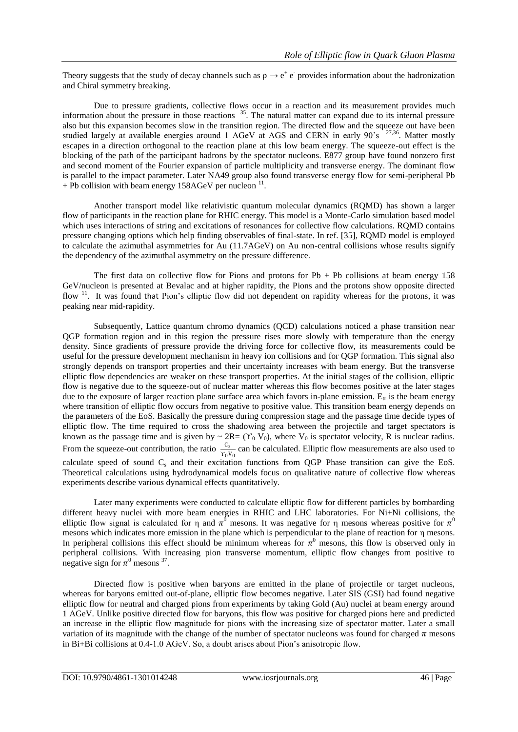Theory suggests that the study of decay channels such as  $\rho \to e^+e^-$  provides information about the hadronization and Chiral symmetry breaking.

Due to pressure gradients, collective flows occur in a reaction and its measurement provides much information about the pressure in those reactions  $35$ . The natural matter can expand due to its internal pressure also but this expansion becomes slow in the transition region. The directed flow and the squeeze out have been studied largely at available energies around 1 AGeV at AGS and CERN in early 90's <sup>27,36</sup>. Matter mostly escapes in a direction orthogonal to the reaction plane at this low beam energy. The squeeze-out effect is the blocking of the path of the participant hadrons by the spectator nucleons. E877 group have found nonzero first and second moment of the Fourier expansion of particle multiplicity and transverse energy. The dominant flow is parallel to the impact parameter. Later NA49 group also found transverse energy flow for semi-peripheral Pb  $+$  Pb collision with beam energy 158AGeV per nucleon  $11$ .

Another transport model like relativistic quantum molecular dynamics (RQMD) has shown a larger flow of participants in the reaction plane for RHIC energy. This model is a Monte-Carlo simulation based model which uses interactions of string and excitations of resonances for collective flow calculations. RQMD contains pressure changing options which help finding observables of final-state. In ref. [35], RQMD model is employed to calculate the azimuthal asymmetries for Au (11.7AGeV) on Au non-central collisions whose results signify the dependency of the azimuthal asymmetry on the pressure difference.

The first data on collective flow for Pions and protons for  $Pb + Pb$  collisions at beam energy 158 GeV/nucleon is presented at Bevalac and at higher rapidity, the Pions and the protons show opposite directed flow <sup>11</sup>[.](#page-6-0) It was found that Pion's elliptic flow did not dependent on rapidity whereas for the protons, it was peaking near mid-rapidity.

Subsequently, Lattice quantum chromo dynamics (QCD) calculations noticed a phase transition near QGP formation region and in this region the pressure rises more slowly with temperature than the energy density. Since gradients of pressure provide the driving force for collective flow, its measurements could be useful for the pressure development mechanism in heavy ion collisions and for QGP formation. This signal also strongly depends on transport properties and their uncertainty increases with beam energy. But the transverse elliptic flow dependencies are weaker on these transport properties. At the initial stages of the collision, elliptic flow is negative due to the squeeze-out of nuclear matter whereas this flow becomes positive at the later stages due to the exposure of larger reaction plane surface area which favors in-plane emission.  $E_r$  is the beam energy where transition of elliptic flow occurs from negative to positive value. This transition beam energy depends on the parameters of the EoS. Basically the pressure during compression stage and the passage time decide types of elliptic flow. The time required to cross the shadowing area between the projectile and target spectators is known as the passage time and is given by  $\sim$  2R= ( $\Upsilon_0$  V<sub>0</sub>), where V<sub>0</sub> is spectator velocity, R is nuclear radius. From the squeeze-out contribution, the ratio  $\frac{C_s}{\gamma_0 v_0}$  can be calculated. Elliptic flow measurements are also used to calculate speed of sound  $C_s$  and their excitation functions from QGP Phase transition can give the EoS. Theoretical calculations using hydrodynamical models focus on qualitative nature of collective flow whereas experiments describe various dynamical effects quantitatively.

Later many experiments were conducted to calculate elliptic flow for different particles by bombarding different heavy nuclei with more beam energies in RHIC and LHC laboratories. For Ni+Ni collisions, the elliptic flow signal is calculated for  $\eta$  and  $\pi^0$  mesons. It was negative for  $\eta$  mesons whereas positive for  $\pi^0$ mesons which indicates more emission in the plane which is perpendicular to the plane of reaction for η mesons. In peripheral collisions this effect should be minimum whereas for  $\pi^0$  mesons, this flow is observed only in peripheral collisions. With increasing pion transverse momentum, elliptic flow changes from positive to negative sign for  $\pi^0$  mesons <sup>37</sup>.

Directed flow is positive when baryons are emitted in the plane of projectile or target nucleons, whereas for baryons emitted out-of-plane, elliptic flow becomes negative. Later SIS (GSI) had found negative elliptic flow for neutral and charged pions from experiments by taking Gold (Au) nuclei at beam energy around 1 AGeV. Unlike positive directed flow for baryons, this flow was positive for charged pions here and predicted an increase in the elliptic flow magnitude for pions with the increasing size of spectator matter. Later a small variation of its magnitude with the change of the number of spectator nucleons was found for charged  $\pi$  mesons in Bi+Bi collisions at 0.4-1.0 AGeV. So, a doubt arises about Pion's anisotropic flow.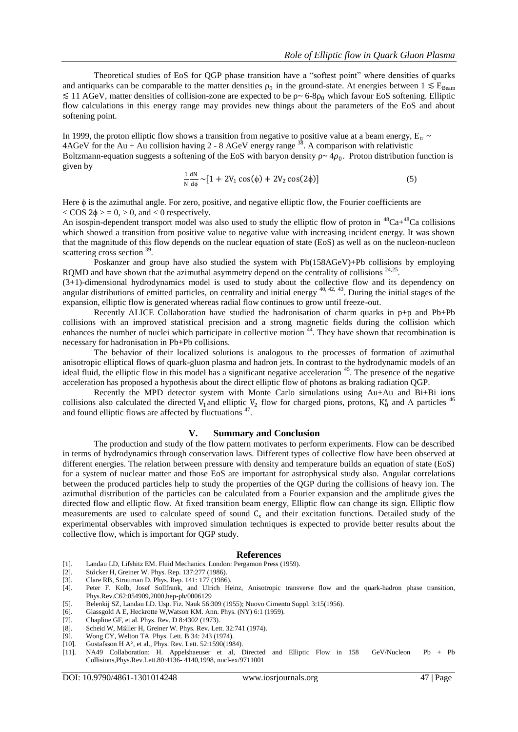Theoretical studies of EoS for QGP phase transition have a "softest point" where densities of quarks and antiquarks can be comparable to the matter densities  $\rho_0$  in the ground-state. At energies between  $1 \le E_{\text{Beam}}$  $\leq 11$  AGeV, matter densities of collision-zone are expected to be  $\rho \sim 6-8\rho_0$  which favour EoS softening. Elliptic flow calculations in this energy range may provides new things about the parameters of the EoS and about softening point.

In 1999, the proton elliptic flow shows a transition from negative to positive value at a beam energy,  $E<sub>tr</sub> \sim$ 4AGeV for the Au + Au collision having 2 - 8 AGeV energy range  $^{38}$ . A comparison with relativistic Boltzmann-equation suggests a softening of the EoS with baryon density  $\rho \sim 4\rho_0$ . Proton distribution function is given by

$$
\frac{1}{N}\frac{dN}{d\phi} \sim [1 + 2V_1 \cos(\phi) + 2V_2 \cos(2\phi)]
$$
\n(5)

Here ϕ is the azimuthal angle. For zero, positive, and negative elliptic flow, the Fourier coefficients are  $\langle$  COS 2 $\phi$   $>$  = 0,  $>$  0, and  $\langle$  0 respectively.

An isospin-dependent transport model was also used to study the elliptic flow of proton in  ${}^{48}Ca+{}^{48}Ca$  collisions which showed a transition from positive value to negative value with increasing incident energy. It was shown that the magnitude of this flow depends on the nuclear equation of state (EoS) as well as on the nucleon-nucleon scattering cross section <sup>39</sup>.

Poskanzer and group have also studied the system with Pb(158AGeV)+Pb collisions by employing RQMD and have shown that the azimuthal asymmetry depend on the centrality of collisions <sup>24,25</sup>.

(3+1)-dimensional hydrodynamics model is used to study about the collective flow and its dependency on angular distributions of emitted particles, on centrality and initial energy  $40, 42, 43$ . During the initial stages of the expansion, elliptic flow is generated whereas radial flow continues to grow until freeze-out.

Recently ALICE Collaboration have studied the hadronisation of charm quarks in p+p and Pb+Pb collisions with an improved statistical precision and a strong magnetic fields during the collision which enhances the number of nuclei which participate in collective motion  $44$ . They have shown that recombination is necessary for hadronisation in Pb+Pb collisions.

The behavior of their localized solutions is analogous to the processes of formation of azimuthal anisotropic elliptical flows of quark-gluon plasma and hadron jets. In contrast to the hydrodynamic models of an ideal fluid, the elliptic flow in this model has a significant negative acceleration<sup>45</sup>. The presence of the negative acceleration has proposed a hypothesis about the direct elliptic flow of photons as braking radiation QGP.

Recently the MPD detector system with Monte Carlo simulations using Au+Au and Bi+Bi ions collisions also calculated the directed V<sub>1</sub> and elliptic V<sub>2</sub> flow for charged pions, protons, K<sub>0</sub><sup>5</sup> and  $\Lambda$  particles <sup>46</sup> and found elliptic flows are affected by fluctuations <sup>47</sup>.

### **V. Summary and Conclusion**

The production and study of the flow pattern motivates to perform experiments. Flow can be described in terms of hydrodynamics through conservation laws. Different types of collective flow have been observed at different energies. The relation between pressure with density and temperature builds an equation of state (EoS) for a system of nuclear matter and those EoS are important for astrophysical study also. Angular correlations between the produced particles help to study the properties of the QGP during the collisions of heavy ion. The azimuthal distribution of the particles can be calculated from a Fourier expansion and the amplitude gives the directed flow and elliptic flow. At fixed transition beam energy, Elliptic flow can change its sign. Elliptic flow measurements are used to calculate speed of sound C<sub>s</sub> and their excitation functions. Detailed study of the experimental observables with improved simulation techniques is expected to provide better results about the collective flow, which is important for QGP study.

#### **References**

- [1]. Landau LD, Lifshitz EM. Fluid Mechanics. London: Pergamon Press (1959).
- [2]. Stöcker H, Greiner W. Phys. Rep. 137:277 (1986).
- [3]. Clare RB, Strottman D. Phys. Rep. 141: 177 (1986).
- [4]. Peter F. Kolb, Josef Sollfrank, and Ulrich Heinz, Anisotropic transverse flow and the quark-hadron phase transition, Phys.Rev.C62:054909,2000,hep-ph/0006129
- [5]. Belenkij SZ, Landau LD. Usp. Fiz. Nauk 56:309 (1955); Nuovo Cimento Suppl. 3:15(1956).
- [6]. Glassgold A E, Heckrotte W,Watson KM. Ann. Phys. (NY) 6:1 (1959).
- [7]. Chapline GF, et al. Phys. Rev. D 8:4302 (1973).
- Scheid W, Müller H, Greiner W. Phys. Rev. Lett. 32:741 (1974).
- [9]. Wong CY, Welton TA. Phys. Lett. B 34: 243 (1974).
- [10]. Gustafsson H A°, et al., Phys. Rev. Lett. 52:1590(1984).
- [11]. NA49 Collaboration: H. Appelshaeuser et al, Directed and Elliptic Flow in 158 GeV/Nucleon Pb + Pb Collisions,Phys.Rev.Lett.80:4136- 4140,1998, nucl-ex/9711001